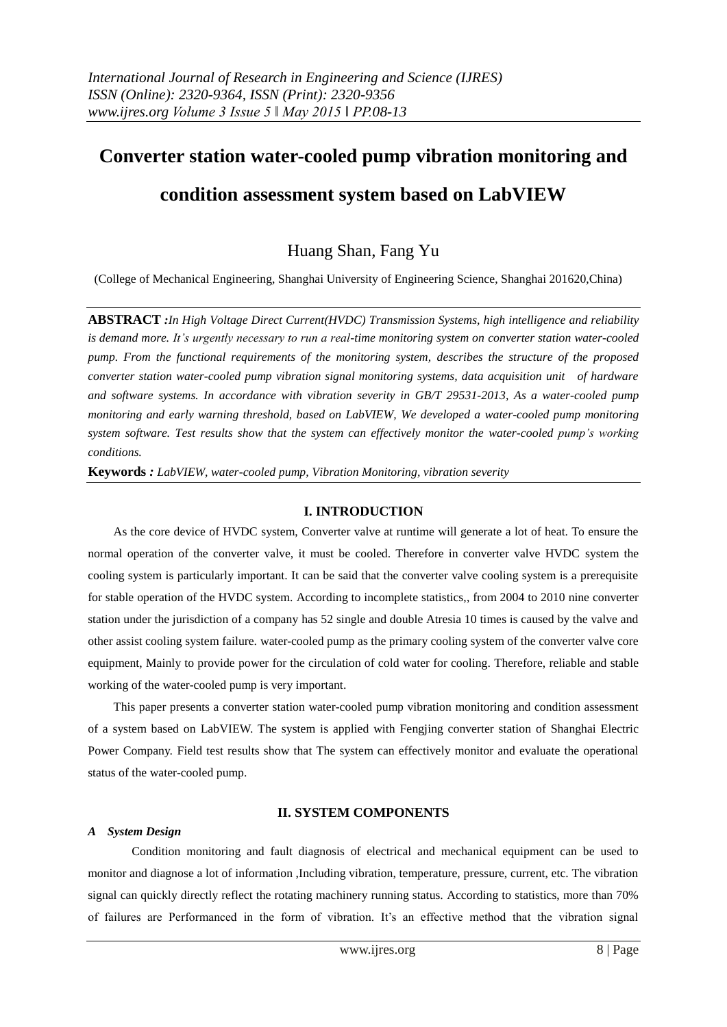# **Converter station water-cooled pump vibration monitoring and condition assessment system based on LabVIEW**

# Huang Shan, Fang Yu

(College of Mechanical Engineering, Shanghai University of Engineering Science, Shanghai 201620,China)

**ABSTRACT** *:In High Voltage Direct Current(HVDC) Transmission Systems, high intelligence and reliability is demand more. It's urgently necessary to run a real-time monitoring system on converter station water-cooled pump. From the functional requirements of the monitoring system, describes the structure of the proposed converter station water-cooled pump vibration signal monitoring systems, data acquisition unit of hardware and software systems. In accordance with vibration severity in GB/T 29531-2013, As a water-cooled pump monitoring and early warning threshold, based on LabVIEW, We developed a water-cooled pump monitoring system software. Test results show that the system can effectively monitor the water-cooled pump's working conditions.*

**Keywords** *: LabVIEW, water-cooled pump, Vibration Monitoring, vibration severity*

#### **I. INTRODUCTION**

As the core device of HVDC system, Converter valve at runtime will generate a lot of heat. To ensure the normal operation of the converter valve, it must be cooled. Therefore in converter valve HVDC system the cooling system is particularly important. It can be said that the converter valve cooling system is a prerequisite for stable operation of the HVDC system. According to incomplete statistics,, from 2004 to 2010 nine converter station under the jurisdiction of a company has 52 single and double Atresia 10 times is caused by the valve and other assist cooling system failure. water-cooled pump as the primary cooling system of the converter valve core equipment, Mainly to provide power for the circulation of cold water for cooling. Therefore, reliable and stable working of the water-cooled pump is very important.

This paper presents a converter station water-cooled pump vibration monitoring and condition assessment of a system based on LabVIEW. The system is applied with Fengjing converter station of Shanghai Electric Power Company. Field test results show that The system can effectively monitor and evaluate the operational status of the water-cooled pump.

# **II. SYSTEM COMPONENTS**

#### *A System Design*

Condition monitoring and fault diagnosis of electrical and mechanical equipment can be used to monitor and diagnose a lot of information ,Including vibration, temperature, pressure, current, etc. The vibration signal can quickly directly reflect the rotating machinery running status. According to statistics, more than 70% of failures are Performanced in the form of vibration. It's an effective method that the vibration signal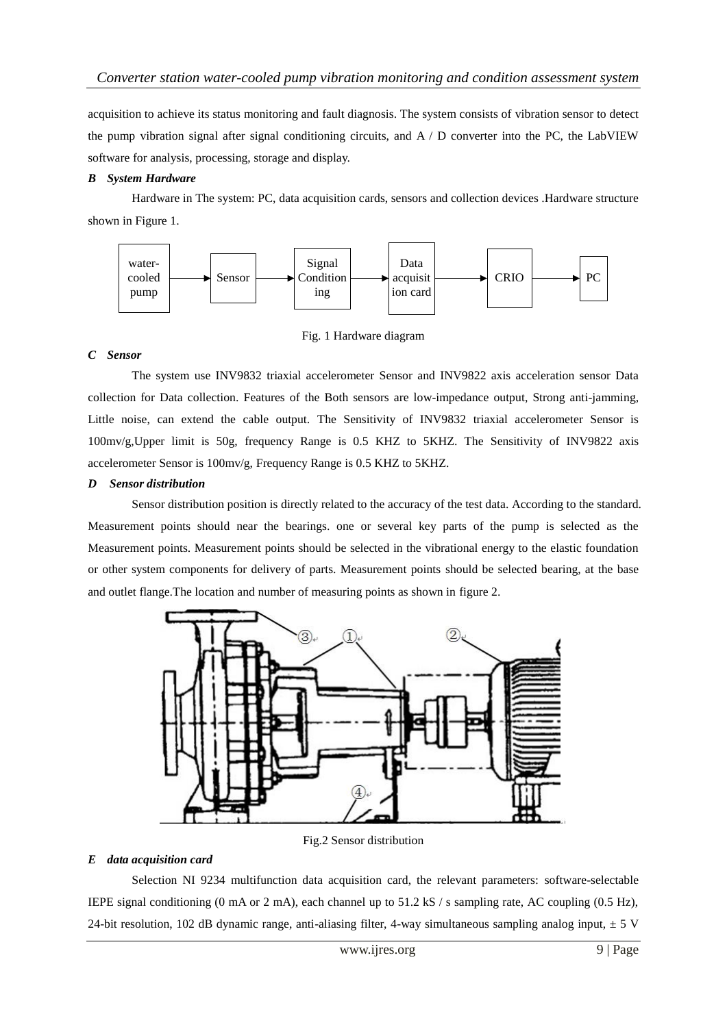acquisition to achieve its status monitoring and fault diagnosis. The system consists of vibration sensor to detect the pump vibration signal after signal conditioning circuits, and A / D converter into the PC, the LabVIEW software for analysis, processing, storage and display.

#### *B System Hardware*

Hardware in The system: PC, data acquisition cards, sensors and collection devices .Hardware structure shown in Figure 1.



Fig. 1 Hardware diagram

# *C Sensor*

The system use INV9832 triaxial accelerometer Sensor and INV9822 axis acceleration sensor Data collection for Data collection. Features of the Both sensors are low-impedance output, Strong anti-jamming, Little noise, can extend the cable output. The Sensitivity of INV9832 triaxial accelerometer Sensor is 100mv/g,Upper limit is 50g, frequency Range is 0.5 KHZ to 5KHZ. The Sensitivity of INV9822 axis accelerometer Sensor is 100mv/g, Frequency Range is 0.5 KHZ to 5KHZ.

# *D Sensor distribution*

Sensor distribution position is directly related to the accuracy of the test data. According to the standard. Measurement points should near the bearings. one or several key parts of the pump is selected as the Measurement points. Measurement points should be selected in the vibrational energy to the elastic foundation or other system components for delivery of parts. Measurement points should be selected bearing, at the base and outlet flange.The location and number of measuring points as shown in figure 2.



Fig.2 Sensor distribution

# *E data acquisition card*

Selection NI 9234 multifunction data acquisition card, the relevant parameters: software-selectable IEPE signal conditioning (0 mA or 2 mA), each channel up to 51.2 kS / s sampling rate, AC coupling (0.5 Hz), 24-bit resolution, 102 dB dynamic range, anti-aliasing filter, 4-way simultaneous sampling analog input,  $\pm$  5 V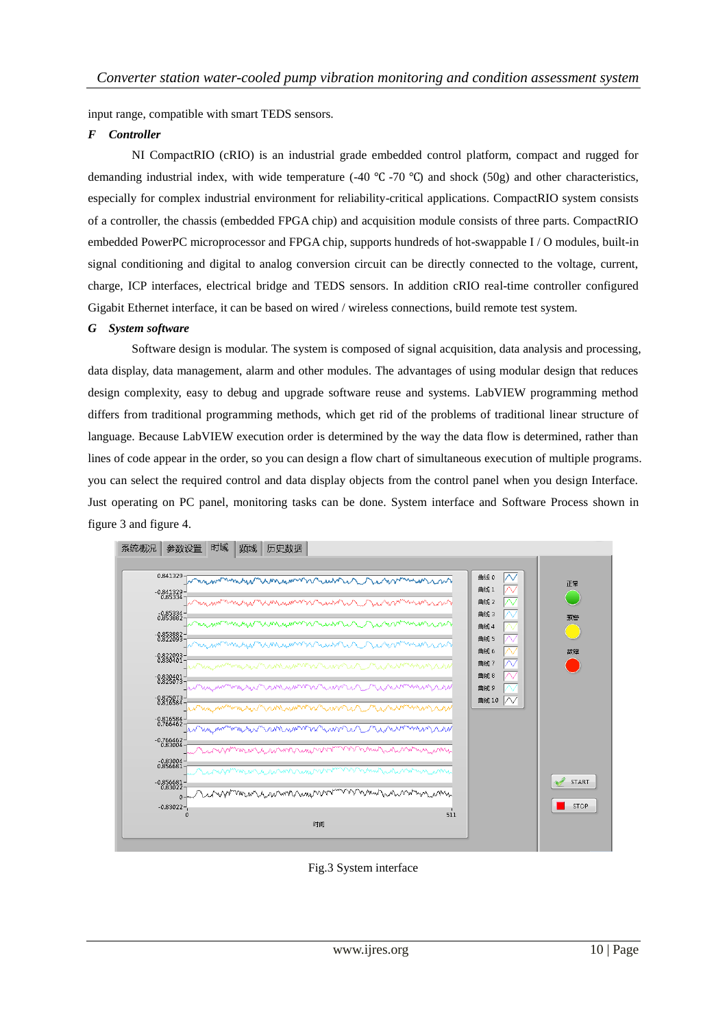input range, compatible with smart TEDS sensors.

#### *F Controller*

NI CompactRIO (cRIO) is an industrial grade embedded control platform, compact and rugged for demanding industrial index, with wide temperature (-40 ℃ -70 ℃) and shock (50g) and other characteristics, especially for complex industrial environment for reliability-critical applications. CompactRIO system consists of a controller, the chassis (embedded FPGA chip) and acquisition module consists of three parts. CompactRIO embedded PowerPC microprocessor and FPGA chip, supports hundreds of hot-swappable I / O modules, built-in signal conditioning and digital to analog conversion circuit can be directly connected to the voltage, current, charge, ICP interfaces, electrical bridge and TEDS sensors. In addition cRIO real-time controller configured Gigabit Ethernet interface, it can be based on wired / wireless connections, build remote test system.

#### *G System software*

Software design is modular. The system is composed of signal acquisition, data analysis and processing, data display, data management, alarm and other modules. The advantages of using modular design that reduces design complexity, easy to debug and upgrade software reuse and systems. LabVIEW programming method differs from traditional programming methods, which get rid of the problems of traditional linear structure of language. Because LabVIEW execution order is determined by the way the data flow is determined, rather than lines of code appear in the order, so you can design a flow chart of simultaneous execution of multiple programs. you can select the required control and data display objects from the control panel when you design Interface. Just operating on PC panel, monitoring tasks can be done. System interface and Software Process shown in figure 3 and figure 4.



Fig.3 System interface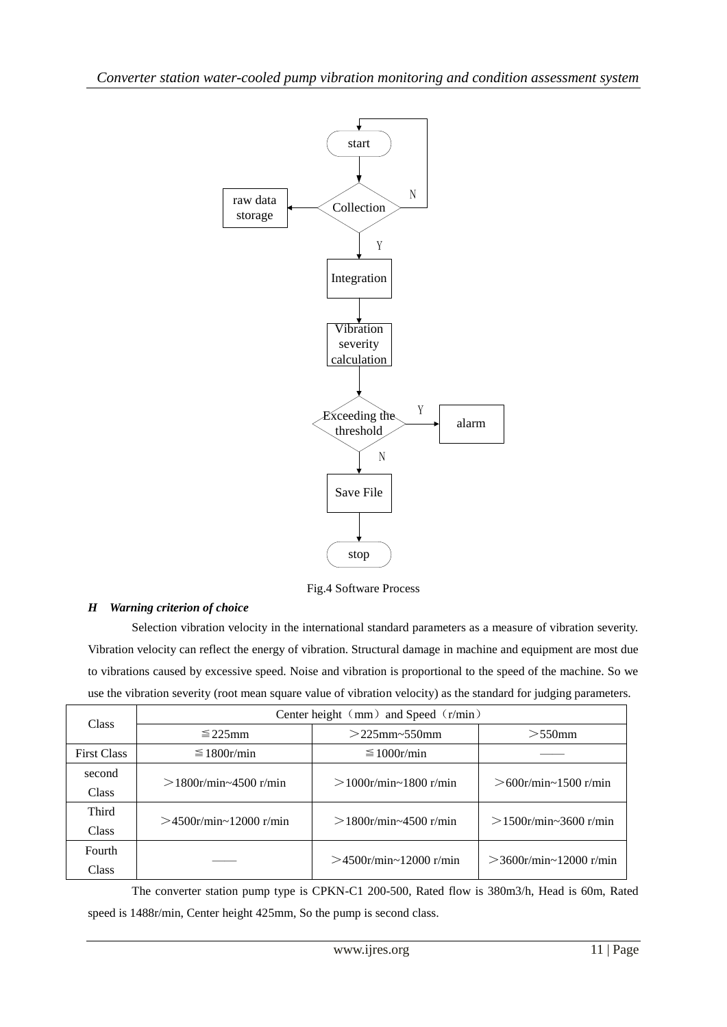

Fig.4 Software Process

# *H Warning criterion of choice*

Selection vibration velocity in the international standard parameters as a measure of vibration severity. Vibration velocity can reflect the energy of vibration. Structural damage in machine and equipment are most due to vibrations caused by excessive speed. Noise and vibration is proportional to the speed of the machine. So we use the vibration severity (root mean square value of vibration velocity) as the standard for judging parameters.

| Class              | Center height $\langle mm \rangle$ and Speed $\langle r/min \rangle$ |                              |                           |  |  |  |
|--------------------|----------------------------------------------------------------------|------------------------------|---------------------------|--|--|--|
|                    | $\leq$ 225mm                                                         | $>$ 225mm~550mm              | $>550$ mm                 |  |  |  |
| <b>First Class</b> | $\leq 1800$ r/min                                                    | $\leq 1000$ r/min            |                           |  |  |  |
| second             | $>1800r/min \sim 4500 r/min$                                         | $>1000r/min \sim 1800 r/min$ | $>600$ r/min~1500 r/min   |  |  |  |
| <b>Class</b>       |                                                                      |                              |                           |  |  |  |
| Third              | $>4500$ r/min~12000 r/min                                            | $>1800$ r/min~4500 r/min     | $>1500$ r/min~3600 r/min  |  |  |  |
| Class              |                                                                      |                              |                           |  |  |  |
| Fourth             |                                                                      | $>4500$ r/min~12000 r/min    |                           |  |  |  |
| <b>Class</b>       |                                                                      |                              | $>$ 3600r/min~12000 r/min |  |  |  |

The converter station pump type is CPKN-C1 200-500, Rated flow is 380m3/h, Head is 60m, Rated speed is 1488r/min, Center height 425mm, So the pump is second class.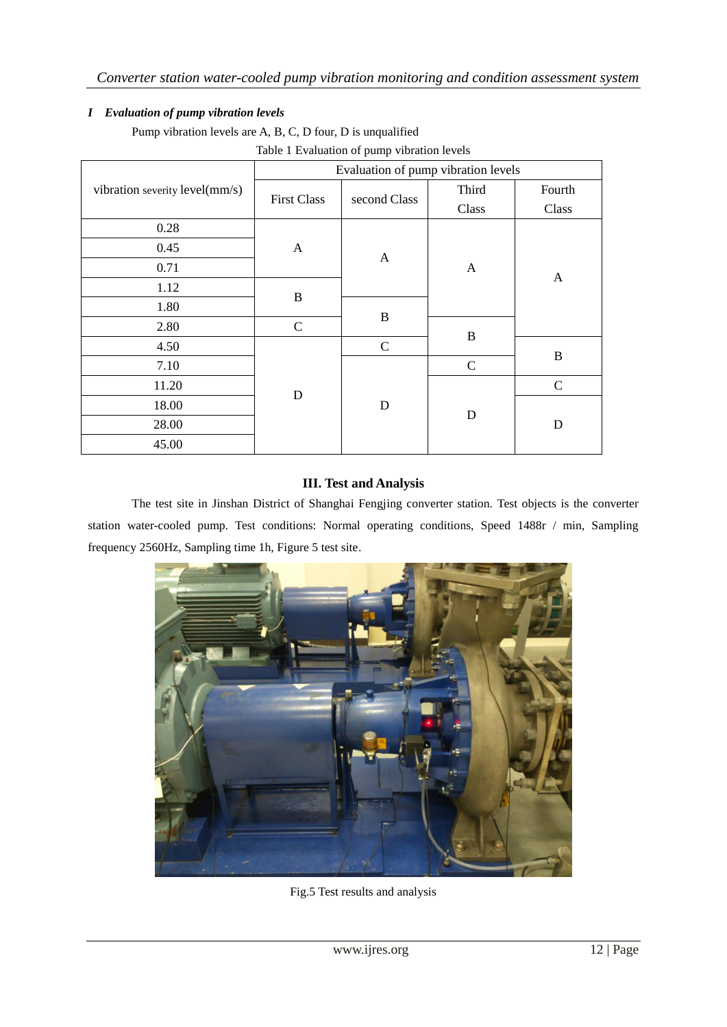# *I Evaluation of pump vibration levels*

Pump vibration levels are A, B, C, D four, D is unqualified

|                                | Evaluation of pump vibration levels |               |               |              |  |  |
|--------------------------------|-------------------------------------|---------------|---------------|--------------|--|--|
| vibration severity level(mm/s) | <b>First Class</b>                  | second Class  | Third         | Fourth       |  |  |
|                                |                                     |               | Class         | Class        |  |  |
| 0.28                           |                                     |               |               |              |  |  |
| 0.45                           | A                                   | $\mathbf{A}$  |               | $\mathbf{A}$ |  |  |
| 0.71                           |                                     |               | A             |              |  |  |
| 1.12                           | $\mathbf B$                         |               |               |              |  |  |
| 1.80                           |                                     |               |               |              |  |  |
| 2.80                           | $\mathcal{C}$                       | $\bf{B}$      |               |              |  |  |
| 4.50                           |                                     | $\mathcal{C}$ | $\bf{B}$      |              |  |  |
| 7.10                           |                                     |               | $\mathcal{C}$ | $\bf{B}$     |  |  |
| 11.20                          |                                     |               |               | $\mathbf C$  |  |  |
| 18.00                          | $\mathbf D$                         | D             |               | D            |  |  |
| 28.00                          |                                     |               | D             |              |  |  |
| 45.00                          |                                     |               |               |              |  |  |

Table 1 Evaluation of pump vibration levels

# **III. Test and Analysis**

The test site in Jinshan District of Shanghai Fengjing converter station. Test objects is the converter station water-cooled pump. Test conditions: Normal operating conditions, Speed 1488r / min, Sampling frequency 2560Hz, Sampling time 1h, Figure 5 test site.



Fig.5 Test results and analysis